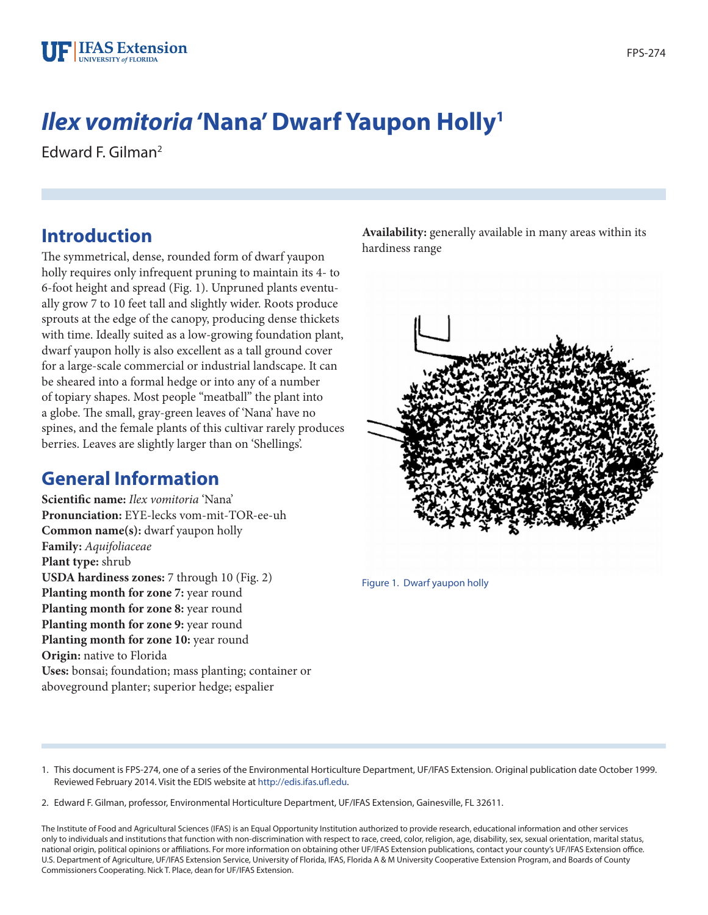# *Ilex vomitoria* **'Nana' Dwarf Yaupon Holly1**

Edward F. Gilman2

# **Introduction**

The symmetrical, dense, rounded form of dwarf yaupon holly requires only infrequent pruning to maintain its 4- to 6-foot height and spread (Fig. 1). Unpruned plants eventually grow 7 to 10 feet tall and slightly wider. Roots produce sprouts at the edge of the canopy, producing dense thickets with time. Ideally suited as a low-growing foundation plant, dwarf yaupon holly is also excellent as a tall ground cover for a large-scale commercial or industrial landscape. It can be sheared into a formal hedge or into any of a number of topiary shapes. Most people "meatball" the plant into a globe. The small, gray-green leaves of 'Nana' have no spines, and the female plants of this cultivar rarely produces berries. Leaves are slightly larger than on 'Shellings'.

# **General Information**

**Scientific name:** *Ilex vomitoria* 'Nana' **Pronunciation:** EYE-lecks vom-mit-TOR-ee-uh **Common name(s):** dwarf yaupon holly **Family:** *Aquifoliaceae* **Plant type:** shrub **USDA hardiness zones:** 7 through 10 (Fig. 2) Planting month for zone 7: year round Planting month for zone 8: year round **Planting month for zone 9:** year round **Planting month for zone 10:** year round **Origin:** native to Florida **Uses:** bonsai; foundation; mass planting; container or aboveground planter; superior hedge; espalier

**Availability:** generally available in many areas within its hardiness range



Figure 1. Dwarf yaupon holly

1. This document is FPS-274, one of a series of the Environmental Horticulture Department, UF/IFAS Extension. Original publication date October 1999. Reviewed February 2014. Visit the EDIS website at<http://edis.ifas.ufl.edu>.

2. Edward F. Gilman, professor, Environmental Horticulture Department, UF/IFAS Extension, Gainesville, FL 32611.

The Institute of Food and Agricultural Sciences (IFAS) is an Equal Opportunity Institution authorized to provide research, educational information and other services only to individuals and institutions that function with non-discrimination with respect to race, creed, color, religion, age, disability, sex, sexual orientation, marital status, national origin, political opinions or affiliations. For more information on obtaining other UF/IFAS Extension publications, contact your county's UF/IFAS Extension office. U.S. Department of Agriculture, UF/IFAS Extension Service, University of Florida, IFAS, Florida A & M University Cooperative Extension Program, and Boards of County Commissioners Cooperating. Nick T. Place, dean for UF/IFAS Extension.